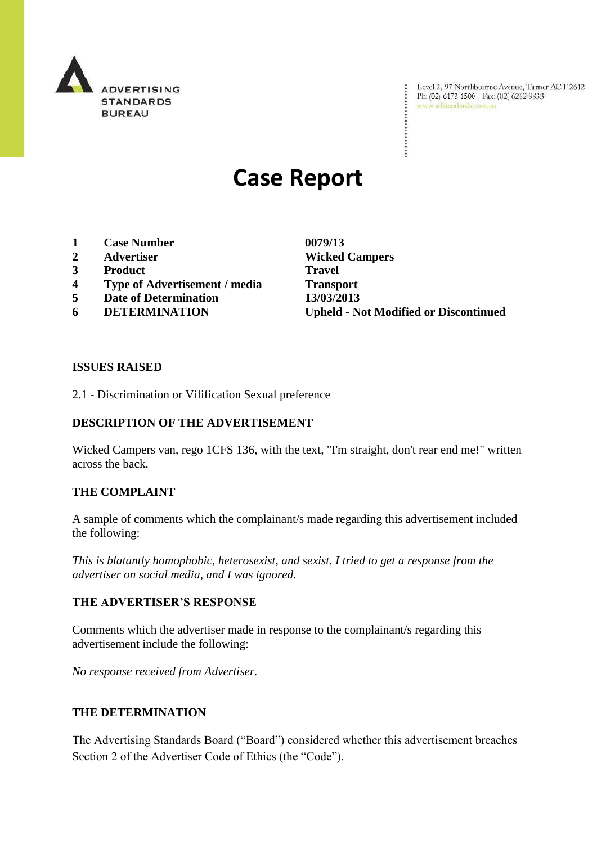

Level 2, 97 Northbourne Avenue, Turner ACT 2612<br>Ph: (02) 6173 1500 | Fax: (02) 6262 9833<br>www.adstandards.com.au

# **Case Report**

- **1 Case Number 0079/13**
- **2 Advertiser Wicked Campers**
- **3 Product Travel**
- **4 Type of Advertisement / media Transport**
- **5 Date of Determination 13/03/2013**
- 

**6 DETERMINATION Upheld - Not Modified or Discontinued**

### **ISSUES RAISED**

2.1 - Discrimination or Vilification Sexual preference

# **DESCRIPTION OF THE ADVERTISEMENT**

Wicked Campers van, rego 1CFS 136, with the text, "I'm straight, don't rear end me!" written across the back.

#### **THE COMPLAINT**

A sample of comments which the complainant/s made regarding this advertisement included the following:

*This is blatantly homophobic, heterosexist, and sexist. I tried to get a response from the advertiser on social media, and I was ignored.*

#### **THE ADVERTISER'S RESPONSE**

Comments which the advertiser made in response to the complainant/s regarding this advertisement include the following:

*No response received from Advertiser.*

# **THE DETERMINATION**

The Advertising Standards Board ("Board") considered whether this advertisement breaches Section 2 of the Advertiser Code of Ethics (the "Code").